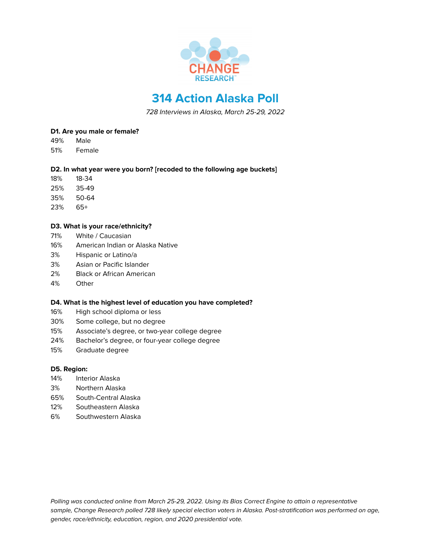

# **314 Action Alaska Poll**

728 Interviews in Alaska, March 25-29, 2022

### **D1. Are you male or female?**

- 49% Male
- 51% Female

### **D2. In what year were you born? [recoded to the following age buckets]**

- 18% 18-34
- 25% 35-49
- 35% 50-64
- 23% 65+

## **D3. What is your race/ethnicity?**

- 71% White / Caucasian
- 16% American Indian or Alaska Native
- 3% Hispanic or Latino/a
- 3% Asian or Pacific Islander
- 2% Black or African American
- 4% Other

### **D4. What is the highest level of education you have completed?**

- 16% High school diploma or less
- 30% Some college, but no degree
- 15% Associate's degree, or two-year college degree
- 24% Bachelor's degree, or four-year college degree
- 15% Graduate degree

### **D5. Region:**

- 14% Interior Alaska
- 3% Northern Alaska
- 65% South-Central Alaska
- 12% Southeastern Alaska
- 6% Southwestern Alaska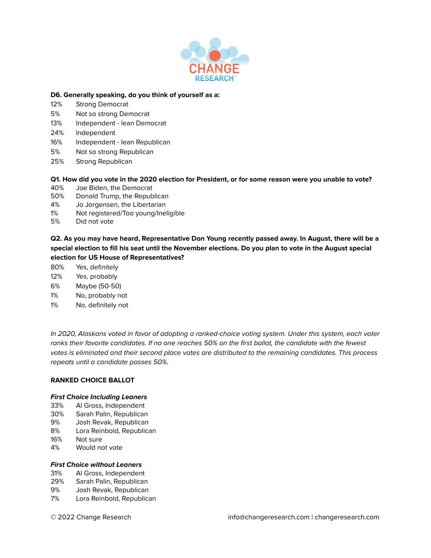

#### **D6. Generally speaking, do you think of yourself as a:**

- 12% Strong Democrat
- 5% Not so strong Democrat
- 13% Independent lean Democrat
- 24% Independent
- 16% Independent lean Republican
- 5% Not so strong Republican
- 25% Strong Republican

### Q1. How did you vote in the 2020 election for President, or for some reason were you unable to vote?

- 40% Joe Biden, the Democrat
- 50% Donald Trump, the Republican
- 4% Jo Jorgensen, the Libertarian
- 1% Not registered/Too young/Ineligible
- 5% Did not vote

Q2. As you may have heard, Representative Don Young recently passed away. In August, there will be a special election to fill his seat until the November elections. Do you plan to vote in the August special **election for US House of Representatives?**

- 80% Yes, definitely
- 12% Yes, probably
- 6% Maybe (50-50)
- 1% No, probably not
- 1% No, definitely not

In 2020, Alaskans voted in favor of adopting a ranked-choice voting system. Under this system, each voter ranks their favorite candidates. If no one reaches 50% on the first ballot, the candidate with the fewest votes is eliminated and their second place votes are distributed to the remaining candidates. This process repeats until a candidate passes 50%.

### **RANKED CHOICE BALLOT**

#### **First Choice Including Leaners**

- 33% Al Gross, Independent
- 30% Sarah Palin, Republican
- 9% Josh Revak, Republican
- 8% Lora Reinbold, Republican
- 16% Not sure
- 4% Would not vote

### **First Choice without Leaners**

- 31% Al Gross, Independent
- 29% Sarah Palin, Republican
- 9% Josh Revak, Republican
- 7% Lora Reinbold, Republican